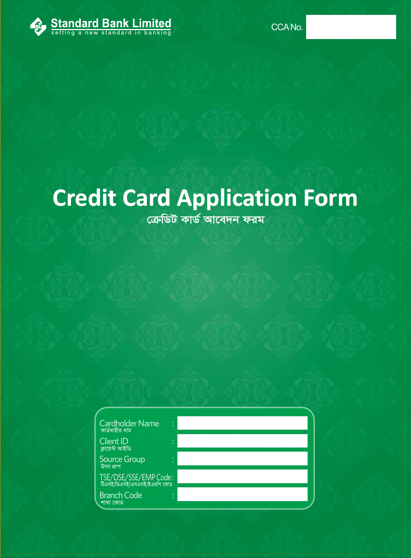

# **Credit Card Application Form**

*ক্ৰে*ডিট কাৰ্ড আবেদন ফরম

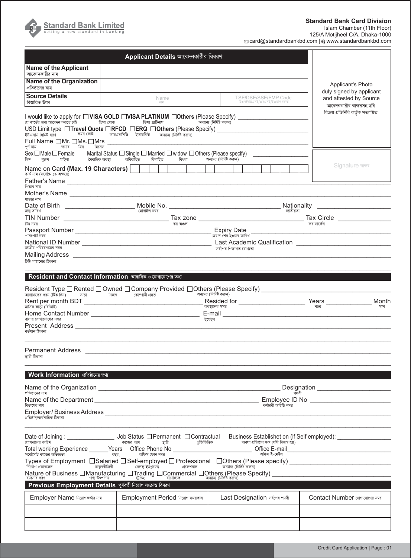

**Standard Bank Card Division**

Islam Chamber (11th Floor)

125/A Motijheel C/A, Dhaka-1000 card@standardbankbd.com | www.standardbankbd.com

|                                                                                                                                                                                                                    | Applicant Details আবেদনকারীর বিবরণ                                                                                                                                                                                              |                                                                 |                                                     |                                                   |
|--------------------------------------------------------------------------------------------------------------------------------------------------------------------------------------------------------------------|---------------------------------------------------------------------------------------------------------------------------------------------------------------------------------------------------------------------------------|-----------------------------------------------------------------|-----------------------------------------------------|---------------------------------------------------|
| <b>Name of the Applicant</b><br>আবেদনকারীর নাম                                                                                                                                                                     |                                                                                                                                                                                                                                 |                                                                 |                                                     |                                                   |
| <b>Name of the Organization</b><br>প্রতিষ্ঠানের নাম                                                                                                                                                                |                                                                                                                                                                                                                                 |                                                                 |                                                     | Applicant's Photo<br>duly signed by applicant     |
| <b>Source Details</b><br>বিস্তারিত উৎস                                                                                                                                                                             | Name<br>$\overline{e\left[ \begin{array}{c c} 2 \end{array} \right]}$                                                                                                                                                           | TSE/DSE/SSE/EMP Code<br>টিএসই/ডিএসই/এসএসই/ইএমপি কোড             | and attested by Source<br>আবেদনকারীর স্বাক্ষরসহ ছবি |                                                   |
| I would like to apply for □ VISA GOLD □ VISA PLATINUM □ Others (Please Specify)<br>যে কার্ডের জন্য আবেদন করতে চাই<br>ভিসা গোল্ড<br>USD Limit type □Travel Quota □RFCD □ERQ □Others (Please Specify) ______________ |                                                                                                                                                                                                                                 | বিক্ৰয় প্ৰতিনিধি কৰ্তক সত্যায়িত                               |                                                     |                                                   |
| ইউএসডি লিমিট ধরণ<br>Full Name □Mr. □Ms. □Mrs<br>পৰ্ণ নাম<br>জনাব মিস<br>মিসেস                                                                                                                                      | ভ্ৰমন কোটা – আরএফসিডি ইআরকিউ অন্যান্য (নির্দিষ্ট করুন)                                                                                                                                                                          |                                                                 |                                                     |                                                   |
| Sex∟Male∟Female<br>বৈবাহিক অবস্থা<br>লিঙ্গ<br>মহিলা<br>পুরুষ                                                                                                                                                       | Marital Status $\Box$ Single $\Box$ Married $\Box$ widow $\Box$ Others (Please specify)<br>অবিবাহিত<br>বিধবা<br>বিবাহিত                                                                                                         | অন্যান্য (নিৰ্দিষ্ট কৰুন)                                       |                                                     |                                                   |
| Name on Card (Max. 19 Characters)  <br>কার্ড নাম (সর্বোচ্চ ১৯ অক্ষরে)<br>পিতার নাম                                                                                                                                 |                                                                                                                                                                                                                                 |                                                                 |                                                     | Signature ৰাক্ষ                                   |
| মাতার নাম                                                                                                                                                                                                          |                                                                                                                                                                                                                                 |                                                                 |                                                     |                                                   |
| জন্ম তারিখ                                                                                                                                                                                                         | মোবাইল নম্বর                                                                                                                                                                                                                    |                                                                 | Nationality<br>জাতীয়তা                             | <u> 1980 - John Stein, amerikansk politiker (</u> |
|                                                                                                                                                                                                                    |                                                                                                                                                                                                                                 |                                                                 |                                                     |                                                   |
| টিন নম্বর                                                                                                                                                                                                          | কর অঞ্চল                                                                                                                                                                                                                        |                                                                 | কর সার্কেল                                          |                                                   |
| পাসপোর্ট নম্বর                                                                                                                                                                                                     |                                                                                                                                                                                                                                 | -<br>মেয়াদ শেষ হওয়ার তারিখ                                    |                                                     |                                                   |
| জাতীয় পরিচয়পত্রের নম্বর<br>চিঠি পাঠানোর ঠিকানা                                                                                                                                                                   |                                                                                                                                                                                                                                 | সৰ্বশেষ শিক্ষাগত যোগ্যতা                                        |                                                     |                                                   |
|                                                                                                                                                                                                                    | Resident and Contact Information আবাসিক ও যোগাযোগের তথ্য                                                                                                                                                                        |                                                                 |                                                     |                                                   |
|                                                                                                                                                                                                                    | Resident Type □ Rented □ Owned □ Company Provided □ Others (Please Specify) _______________________                                                                                                                             |                                                                 |                                                     |                                                   |
| আবাসিকের ধরন (টিক দিন)          ভাড়া                                                                                                                                                                              | $-$ নিজৰ কোম্পানী প্ৰদত্ত                                                                                                                                                                                                       | অন্যান্য (নিৰ্দিষ্ট করুন)<br>Resided for ______________________ |                                                     | Month<br>Years ______________                     |
| মাসিক ভাড়া (বিডিটি)                                                                                                                                                                                               |                                                                                                                                                                                                                                 | অবস্থানের সময়                                                  | বছর                                                 | মাস                                               |
| বাসায় যোগাযোগের নম্বর<br>বৰ্তমান ঠিকানা                                                                                                                                                                           |                                                                                                                                                                                                                                 | ইমেইল                                                           |                                                     |                                                   |
| <b>Permanent Address</b><br>স্থায়ী ঠিকানা                                                                                                                                                                         | <u> 1980 - John Stein, Amerikaansk politiker (* 1900)</u>                                                                                                                                                                       |                                                                 |                                                     |                                                   |
| Work Information প্রতিষ্ঠানের তথ্য                                                                                                                                                                                 |                                                                                                                                                                                                                                 |                                                                 |                                                     |                                                   |
|                                                                                                                                                                                                                    |                                                                                                                                                                                                                                 |                                                                 |                                                     | Designation ________________________              |
| প্রতিষ্ঠানের নাম                                                                                                                                                                                                   |                                                                                                                                                                                                                                 |                                                                 | পদবী                                                |                                                   |
| বিভাগের নাম                                                                                                                                                                                                        |                                                                                                                                                                                                                                 | কৰ্মচারী আইডি নম্বর                                             |                                                     |                                                   |
| প্ৰতিষ্ঠান/ব্যবসায়িক ঠিকানা                                                                                                                                                                                       |                                                                                                                                                                                                                                 |                                                                 |                                                     |                                                   |
| যোগদানের তারিখ                                                                                                                                                                                                     |                                                                                                                                                                                                                                 | চজিভিত্তিক<br>ব্যবসা প্রতিষ্ঠান শুরু (যদি নিজস্ব হয়)           |                                                     |                                                   |
| সর্বোমোট কাজের অভিজ্ঞতা                                                                                                                                                                                            | Total working Experience ______Years Office Phone No ___________________________Office E-mail<br>.<br>বছর, অফিস ফোন নম্বর                                                                                                       | অফিস ই-মেইল                                                     |                                                     |                                                   |
| নিয়োগ প্রকারভেদ                                                                                                                                                                                                   | Types of Employment □Salaried □Self-employed □ Professional □Others (Please specify) ______________<br>চাকররীজিবী<br>সেলফ ইমপ্লয়েড                                                                                             | অন্যান্য (নিৰ্দিষ্ট করুন)<br>প্ৰফেশনাল                          |                                                     |                                                   |
|                                                                                                                                                                                                                    | Nature of Business □ Manufacturing □ Trading □ Commercial □ Others (Please Specify) __________________________<br>बाबाब क्षेत्र अपने स्थापि अपने उद्योगित अपने अपने अपने स्थापिक के अन्तर्गत (निमिष्टे कक्षेत्र) ______________ |                                                                 |                                                     |                                                   |
| Previous Employment Details পূৰ্বৰতী নিয়োগ সংক্ৰান্ত বিবরণ                                                                                                                                                        |                                                                                                                                                                                                                                 |                                                                 |                                                     |                                                   |
| Employer Name নিয়োগকৰ্তার নাম                                                                                                                                                                                     | Employment Period निक्षान मप्रश्नकाल                                                                                                                                                                                            | Last Designation जबलब अपनी                                      |                                                     | Contact Number त्यागात्यालान नमन                  |
|                                                                                                                                                                                                                    |                                                                                                                                                                                                                                 |                                                                 |                                                     |                                                   |
|                                                                                                                                                                                                                    |                                                                                                                                                                                                                                 |                                                                 |                                                     |                                                   |
|                                                                                                                                                                                                                    |                                                                                                                                                                                                                                 |                                                                 |                                                     |                                                   |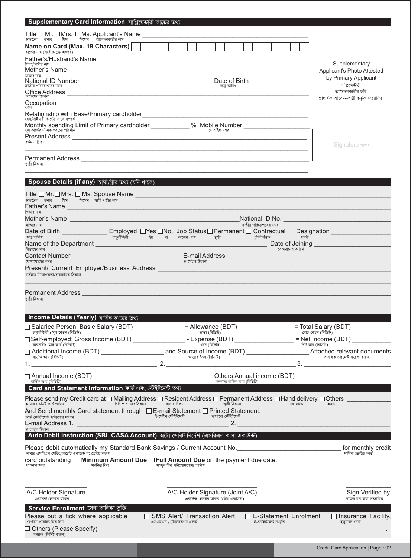| Supplementary Card Information সাপ্লিমেন্টারী কার্ডের তথ্য                                                                                                                                                                                         |                                                                                                                                                                                                     |                                                                                                                                                                                                                                      |
|----------------------------------------------------------------------------------------------------------------------------------------------------------------------------------------------------------------------------------------------------|-----------------------------------------------------------------------------------------------------------------------------------------------------------------------------------------------------|--------------------------------------------------------------------------------------------------------------------------------------------------------------------------------------------------------------------------------------|
|                                                                                                                                                                                                                                                    |                                                                                                                                                                                                     |                                                                                                                                                                                                                                      |
| Name on Card (Max. 19 Characters)                                                                                                                                                                                                                  |                                                                                                                                                                                                     |                                                                                                                                                                                                                                      |
| কার্ডের নাম (সর্বোচ্চ ১৯ অক্ষরে)                                                                                                                                                                                                                   |                                                                                                                                                                                                     |                                                                                                                                                                                                                                      |
| পিতা/স্বামীর নাম<br>Mother's Name experience and the state of the state of the state of the state of the state of the state of the state of the state of the state of the state of the state of the state of the state of the state of the state o |                                                                                                                                                                                                     | Supplementary<br><b>Applicant's Photo Attested</b>                                                                                                                                                                                   |
| মাতার নাম                                                                                                                                                                                                                                          |                                                                                                                                                                                                     | by Primary Applicant                                                                                                                                                                                                                 |
| জাতীয় পরিচয়পত্রের নম্বর                                                                                                                                                                                                                          | জনা তারিখ                                                                                                                                                                                           | সাপ্রিমেন্টারী<br>আবেদনকারীর ছবি                                                                                                                                                                                                     |
|                                                                                                                                                                                                                                                    |                                                                                                                                                                                                     | প্ৰাথমিক আবেদনকারী কর্তক সত্যায়িত                                                                                                                                                                                                   |
|                                                                                                                                                                                                                                                    |                                                                                                                                                                                                     |                                                                                                                                                                                                                                      |
| বেস/প্রাইমারী কার্ডের সাথে সম্পর্ক<br>মূল কার্ডের মাঁসিক খরচের পরিমান                                                                                                                                                                              | Monthly spending Limit of Primary cardholder ____________ % Mobile Number __________________<br>মোবাইল নম্বর                                                                                        |                                                                                                                                                                                                                                      |
| বৰ্তমান ঠিকানা                                                                                                                                                                                                                                     |                                                                                                                                                                                                     | Signature ৰাক্ষ                                                                                                                                                                                                                      |
| Permanent Address experience and the contract of the contract of the contract of the contract of the contract of the contract of the contract of the contract of the contract of the contract of the contract of the contract<br>স্থায়ী ঠিকানা    |                                                                                                                                                                                                     |                                                                                                                                                                                                                                      |
| Spouse Details (if any) স্বামী/স্ত্ৰীর তথ্য (যদি থাকে)                                                                                                                                                                                             |                                                                                                                                                                                                     |                                                                                                                                                                                                                                      |
|                                                                                                                                                                                                                                                    |                                                                                                                                                                                                     |                                                                                                                                                                                                                                      |
| .<br>টাইটেল জনাব মিস মিসেস স্বামী স্ত্ৰীর নাম<br>Father's Name                                                                                                                                                                                     |                                                                                                                                                                                                     |                                                                                                                                                                                                                                      |
| পিতার নাম                                                                                                                                                                                                                                          |                                                                                                                                                                                                     |                                                                                                                                                                                                                                      |
| মাতার নাম                                                                                                                                                                                                                                          | জাতীয় পরিচয়পত্রের নম্বর<br>Date of Birth ________________ Employed □Yes □No, Job Status□Permanent □ Contractual Designation ______________                                                        |                                                                                                                                                                                                                                      |
| জন্ম তারিখ<br>Name of the Department <b>contains the Separate Separate and Separate Separate Activities</b>                                                                                                                                        | ঁচাকুরীজিবী হ্যা না কাজের ধরণ হায়ী সাক্রীজিকি সদবী                                                                                                                                                 | Date of Joining <b>Commercial Common Contract Contract Common Contract Contract Contract Contract Contract Contract Contract Contract Contract Contract Contract Contract Contract Contract Contract Contract Contract Contract </b> |
| বিভাগের নাম                                                                                                                                                                                                                                        | যোগদানের তারিখ<br>Contact Number $\qquad \qquad \qquad$ E-mail Address $\qquad \qquad$                                                                                                              |                                                                                                                                                                                                                                      |
| যোগাযোগের নম্বর<br>Present/ Current Employer/Business Address                                                                                                                                                                                      | ই-মেইল ঠিকানা                                                                                                                                                                                       |                                                                                                                                                                                                                                      |
| বৰ্তমান নিয়োগকৰ্তা/ব্যবসায়িক ঠিকানা                                                                                                                                                                                                              |                                                                                                                                                                                                     |                                                                                                                                                                                                                                      |
| Permanent Address [1989] [1989] [1989] [1989] [1989] [1989] [1989] [1989] [1989] [1989] [1989] [1989] [1989] [<br>স্থায়ী ঠিকানা                                                                                                                   |                                                                                                                                                                                                     |                                                                                                                                                                                                                                      |
|                                                                                                                                                                                                                                                    |                                                                                                                                                                                                     |                                                                                                                                                                                                                                      |
| Income Details (Yearly) বাৰ্ষিক আয়ের তথ্য                                                                                                                                                                                                         |                                                                                                                                                                                                     |                                                                                                                                                                                                                                      |
| চাকরীজিবী: মূল বেতন (বিডিটি)                                                                                                                                                                                                                       | □ Salaried Person: Basic Salary (BDT) _______________ + Allowance (BDT) ______________ = Total Salary (BDT) __________<br>ভাতা (বিডিটি)                                                             | মোট বেতন (বিডিটি)                                                                                                                                                                                                                    |
| ব্যবসায়ী: মোট আয় (বিডিটি)                                                                                                                                                                                                                        | □Self-employed: Gross Income (BDT) ____________________- Expense (BDT) _______________= Net Income (BDT) ______<br>খরচ (বিডিটি)                                                                     |                                                                                                                                                                                                                                      |
| বাড়তি আয় (বিডিটি)                                                                                                                                                                                                                                | আয়ের উৎস (বিডিটি)                                                                                                                                                                                  | —<br>- প্রাসঙ্গিক ডকুমেন্ট সংযুক্ত করুন                                                                                                                                                                                              |
| 1.                                                                                                                                                                                                                                                 |                                                                                                                                                                                                     |                                                                                                                                                                                                                                      |
| বাৰ্ষিক আয় (বিডিটি)                                                                                                                                                                                                                               | অন্যান্য বাৰ্ষিক আয় (বিডিটি)                                                                                                                                                                       |                                                                                                                                                                                                                                      |
| Card and Statement Information কাৰ্ড এবং স্টেইটমেন্ট তথ্য                                                                                                                                                                                          |                                                                                                                                                                                                     |                                                                                                                                                                                                                                      |
| আমার ক্রেডিট কার্ড পাঠান                                                                                                                                                                                                                           | Please send my Credit card at □ Mailing Address □ Resident Address □ Permanent Address □ Hand delivery □ Others<br>$\overline{b}$ চিঠি পাঠানোর ঠিকানা $\overline{a}$ বাসার ঠিকানা<br>স্থায়ী ঠিকানা | নিজ হাতে<br>নিজ হাতে<br>অন্যান্য                                                                                                                                                                                                     |
| And Send monthly Card statement through $\square$ E-mail Statement $\square$ Printed Statement.<br>কার্ড স্টেইটমেন্ট পাঠানোর মাধ্যম<br>হ-মেহল সেহচমেত হাসালে। তেওঁ<br>২০১৯<br>E-mail Address 1.                                                    | ত – ই-মেইল সেইটমেন্ট – মামত এ তালে।<br>ছাপানো সেইটমেন্ট<br>2. $\qquad \qquad$                                                                                                                       |                                                                                                                                                                                                                                      |
| ই-মেইল ঠিকানা<br>Auto Debit Instruction (SBL CASA Account) অটো ডেবিট নির্দেশ (এসবিএল কাসা একাউন্ট)                                                                                                                                                 |                                                                                                                                                                                                     |                                                                                                                                                                                                                                      |
|                                                                                                                                                                                                                                                    | Please debit automatically my Standard Bank Savings / Current Account No. [1997] [1998] Please debit automatically my Standard Bank Savings / Current Account No.                                   | for monthly credit                                                                                                                                                                                                                   |
| আমার এসবিএল সেভিং/কারেন্ট একাউন্ট নং ডেবিট করণ                                                                                                                                                                                                     |                                                                                                                                                                                                     | মাসিক ক্ৰেডিট কাৰ্ড                                                                                                                                                                                                                  |

|             | card outstanding $\Box$ Minimum Amount Due $\Box$ Full Amount Due on the payment due date. |                               |  |
|-------------|--------------------------------------------------------------------------------------------|-------------------------------|--|
| পাওনার জন্য | সৰ্বনিনা বিল                                                                               | সম্পৰ্ন বিল পরিশোধযোগ্য তারিখ |  |

| A/C Holder Signature                                        | A/C Holder Signature (Joint A/C)       | Sign Verified by              |                            |
|-------------------------------------------------------------|----------------------------------------|-------------------------------|----------------------------|
| একাউন্ট হোল্ডার স্বাক্ষর                                    | একাউন্ট হোল্ডার স্বাক্ষর (যৌথ একাউন্ট) | স্বাক্ষর যার দ্বারা সত্যায়িত |                            |
| <b>Service Enrollment</b> সেবা তা <u>লিকা ভুক্তি</u> ।      |                                        |                               |                            |
| Please put a tick where applicable                          | $\Box$ SMS Alert/ Transaction Alert    | $\Box$ E-Statement Enrolment  | $\Box$ Insurance Facility, |
| যেখানে প্ৰযোজ্য টিক দিন                                     | এসএমএস / ট্রানজেকশন এলার্ট             | ই-স্টেইটমেন্ট সংযক্তি         | ইন্যুরেন্স সেবা            |
| $\Box$ Others (Please Specify)<br>অন্যান্য (নিৰ্দিষ্ট করুন) |                                        |                               |                            |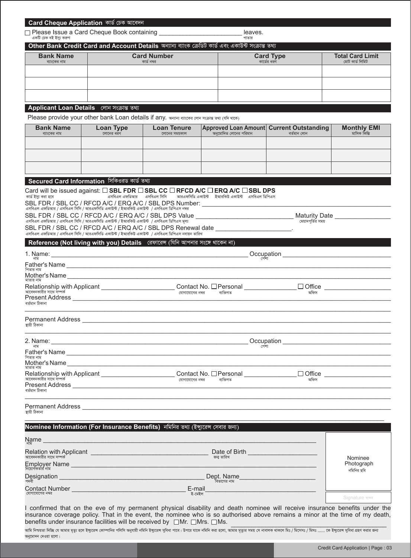| Other Bank Credit Card and Account Details অন্যান্য ব্যাংক ক্ৰেডিট কাৰ্ড এবং একাউন্ট সংক্ৰান্ত তথ্য<br><b>Bank Name</b><br><b>Card Number</b><br><b>Card Type</b><br><b>Total Card Limit</b><br>কার্ড নম্বর<br>কার্ডের ধরণ<br>মোট কাৰ্ড লিমিট<br>ব্যাংকের নাম<br>Applicant Loan Details লোন সংক্ৰান্ত তথ্য<br>Please provide your other bank Loan details if any. अन्याना बाररकब लान मरकाड उथा (यनि थाटक)<br><b>Loan Tenure</b><br>Approved Loan Amount Current Outstanding<br><b>Bank Name</b><br><b>Loan Type</b><br><b>Monthly EMI</b><br>অনুমোদিত লোনের পরিমান<br>লোনের ধরণ<br>বৰ্তমান লোন<br>মাসিক কিস্তি<br>ব্যাংকের নাম<br>লোনের সময়কাল<br>Secured Card Information সিকিওরড কার্ড তথ্য<br>Card will be issued against: □ SBL FDR □ SBL CC □ RFCD A/C □ ERQ A/C □ SBL DPS<br>এসবিএল এফডিআর      এসবিএল সিসি        আরএফসিডি একাউন্ট     ইআরকিউ একাউন্ট    এসবিএল ডিপিএস<br>SBL FDR / SBL CC / RFCD A/C / ERQ A/C / SBL DPS Number: ________________________<br>এসবিএল এফডিআর / এসবিএল সিসি / আরএফসিডি একাউন্ট / ইআরকিউ একাউন্ট / এসবিএল ডিপিএস নম্বর<br>SBL FDR / SBL CC / RFCD A/C / ERQ A/C / SBL DPS Value ___________________________ Maturity Date _____________<br>এসবিএল এফডিআর / এসবিএল সিসি / আরএফসিডি একাউন্ট / ইআরকিউ একাউন্ট  / এসবিএল ডিপিএস মূল্য<br>মেয়াদপর্তির সময়<br>SBL FDR / SBL CC / RFCD A/C / ERQ A/C / SBL DPS Renewal date ___________________<br>এসবিএল এফডিআর / এসবিএল সিসি / আরএফসিডি একাউন্ট / ইআরকিউ একাউন্ট / এসবিএল ডিপিএস নবায়ন তারিখ<br>Reference (Not living with you) Details রেফারেন্স (যিনি আপনার সংঙ্গে থাকেন না)<br>পেশা<br>পিতার নাম<br>মাতার নাম<br>আবেদনকারীর সাথে সম্পর্ক<br>যোগাযোগের নম্বর ব্যক্তিগত<br>অফিস<br>Present Address National Address National Address National Address National Address National Address National Address<br>বৰ্তমান ঠিকানা<br>স্থায়ী ঠিকানা<br>2. Name:<br>Occupation<br><u> 1980 - Jan Barbara, martin da kasar Amerikaan dan Barbara (j. 1980).</u><br>পেশা<br>নাম<br>পিতার নাম<br>Relationship with Applicant ___________________________Contact No. $\Box$ Personal ____________________<br>□ Office <u>__________________</u><br>যোগাযোগের নম্বর<br>ব্যক্তিগত<br>অফিস<br>Permanent Address and the contract of the contract of the contract of the contract of the contract of the contract of the contract of the contract of the contract of the contract of the contract of the contract of the cont<br>Nominee Information (For Insurance Benefits) নমিনির তথ্য (ইন্যুরেন্স সেবার জন্য)<br>Name<br><u> 1989 - Jan Sterling von de Berling von de Berling von de Berling von de Berling von de Berling von de Berling</u><br>Date of Birth <b>Exercise Services</b> and the service of Birth<br>Relation with Applicant <b>contained a set of the contact of the contact of the contact of the contact of the contact of the contact of the contact of the contact of the contact of the contact of the contact of the contact o</b><br>আবেদনকারীর সাথে সম্পর্ক<br>জনা তারিখ<br>Nominee<br>Photograph<br>নমিনির ছবি<br>Dept. Name<br>বিভাগের নাম<br><b>Contact Number and Service Contact Number</b><br>E-mail<br>ই-মেইল<br>Signature चाकत | একটি চেক বই ইস্য করুণ                                  |  | leaves.<br>পাতার |  |
|-----------------------------------------------------------------------------------------------------------------------------------------------------------------------------------------------------------------------------------------------------------------------------------------------------------------------------------------------------------------------------------------------------------------------------------------------------------------------------------------------------------------------------------------------------------------------------------------------------------------------------------------------------------------------------------------------------------------------------------------------------------------------------------------------------------------------------------------------------------------------------------------------------------------------------------------------------------------------------------------------------------------------------------------------------------------------------------------------------------------------------------------------------------------------------------------------------------------------------------------------------------------------------------------------------------------------------------------------------------------------------------------------------------------------------------------------------------------------------------------------------------------------------------------------------------------------------------------------------------------------------------------------------------------------------------------------------------------------------------------------------------------------------------------------------------------------------------------------------------------------------------------------------------------------------------------------------------------------------------------------------------------------------------------------------------------------------------------------------------------------------------------------------------------------------------------------------------------------------------------------------------------------------------------------------------------------------------------------------------------------------------------------------------------------------------------------------------------------------------------------------------------------------------------------------------------------------------------------------------------------------------------------------------------------------------------------------------------------------------------------------------------------------------------------------------------------------------------------------------------------------------------------------------------------------------------------------------------------------------------------------------------------------------------------------------------------------------------------------------------------------------------|--------------------------------------------------------|--|------------------|--|
|                                                                                                                                                                                                                                                                                                                                                                                                                                                                                                                                                                                                                                                                                                                                                                                                                                                                                                                                                                                                                                                                                                                                                                                                                                                                                                                                                                                                                                                                                                                                                                                                                                                                                                                                                                                                                                                                                                                                                                                                                                                                                                                                                                                                                                                                                                                                                                                                                                                                                                                                                                                                                                                                                                                                                                                                                                                                                                                                                                                                                                                                                                                                         |                                                        |  |                  |  |
|                                                                                                                                                                                                                                                                                                                                                                                                                                                                                                                                                                                                                                                                                                                                                                                                                                                                                                                                                                                                                                                                                                                                                                                                                                                                                                                                                                                                                                                                                                                                                                                                                                                                                                                                                                                                                                                                                                                                                                                                                                                                                                                                                                                                                                                                                                                                                                                                                                                                                                                                                                                                                                                                                                                                                                                                                                                                                                                                                                                                                                                                                                                                         |                                                        |  |                  |  |
|                                                                                                                                                                                                                                                                                                                                                                                                                                                                                                                                                                                                                                                                                                                                                                                                                                                                                                                                                                                                                                                                                                                                                                                                                                                                                                                                                                                                                                                                                                                                                                                                                                                                                                                                                                                                                                                                                                                                                                                                                                                                                                                                                                                                                                                                                                                                                                                                                                                                                                                                                                                                                                                                                                                                                                                                                                                                                                                                                                                                                                                                                                                                         |                                                        |  |                  |  |
|                                                                                                                                                                                                                                                                                                                                                                                                                                                                                                                                                                                                                                                                                                                                                                                                                                                                                                                                                                                                                                                                                                                                                                                                                                                                                                                                                                                                                                                                                                                                                                                                                                                                                                                                                                                                                                                                                                                                                                                                                                                                                                                                                                                                                                                                                                                                                                                                                                                                                                                                                                                                                                                                                                                                                                                                                                                                                                                                                                                                                                                                                                                                         |                                                        |  |                  |  |
|                                                                                                                                                                                                                                                                                                                                                                                                                                                                                                                                                                                                                                                                                                                                                                                                                                                                                                                                                                                                                                                                                                                                                                                                                                                                                                                                                                                                                                                                                                                                                                                                                                                                                                                                                                                                                                                                                                                                                                                                                                                                                                                                                                                                                                                                                                                                                                                                                                                                                                                                                                                                                                                                                                                                                                                                                                                                                                                                                                                                                                                                                                                                         |                                                        |  |                  |  |
|                                                                                                                                                                                                                                                                                                                                                                                                                                                                                                                                                                                                                                                                                                                                                                                                                                                                                                                                                                                                                                                                                                                                                                                                                                                                                                                                                                                                                                                                                                                                                                                                                                                                                                                                                                                                                                                                                                                                                                                                                                                                                                                                                                                                                                                                                                                                                                                                                                                                                                                                                                                                                                                                                                                                                                                                                                                                                                                                                                                                                                                                                                                                         |                                                        |  |                  |  |
|                                                                                                                                                                                                                                                                                                                                                                                                                                                                                                                                                                                                                                                                                                                                                                                                                                                                                                                                                                                                                                                                                                                                                                                                                                                                                                                                                                                                                                                                                                                                                                                                                                                                                                                                                                                                                                                                                                                                                                                                                                                                                                                                                                                                                                                                                                                                                                                                                                                                                                                                                                                                                                                                                                                                                                                                                                                                                                                                                                                                                                                                                                                                         |                                                        |  |                  |  |
|                                                                                                                                                                                                                                                                                                                                                                                                                                                                                                                                                                                                                                                                                                                                                                                                                                                                                                                                                                                                                                                                                                                                                                                                                                                                                                                                                                                                                                                                                                                                                                                                                                                                                                                                                                                                                                                                                                                                                                                                                                                                                                                                                                                                                                                                                                                                                                                                                                                                                                                                                                                                                                                                                                                                                                                                                                                                                                                                                                                                                                                                                                                                         | কাৰ্ড ইস্য করা হবে                                     |  |                  |  |
|                                                                                                                                                                                                                                                                                                                                                                                                                                                                                                                                                                                                                                                                                                                                                                                                                                                                                                                                                                                                                                                                                                                                                                                                                                                                                                                                                                                                                                                                                                                                                                                                                                                                                                                                                                                                                                                                                                                                                                                                                                                                                                                                                                                                                                                                                                                                                                                                                                                                                                                                                                                                                                                                                                                                                                                                                                                                                                                                                                                                                                                                                                                                         |                                                        |  |                  |  |
|                                                                                                                                                                                                                                                                                                                                                                                                                                                                                                                                                                                                                                                                                                                                                                                                                                                                                                                                                                                                                                                                                                                                                                                                                                                                                                                                                                                                                                                                                                                                                                                                                                                                                                                                                                                                                                                                                                                                                                                                                                                                                                                                                                                                                                                                                                                                                                                                                                                                                                                                                                                                                                                                                                                                                                                                                                                                                                                                                                                                                                                                                                                                         |                                                        |  |                  |  |
|                                                                                                                                                                                                                                                                                                                                                                                                                                                                                                                                                                                                                                                                                                                                                                                                                                                                                                                                                                                                                                                                                                                                                                                                                                                                                                                                                                                                                                                                                                                                                                                                                                                                                                                                                                                                                                                                                                                                                                                                                                                                                                                                                                                                                                                                                                                                                                                                                                                                                                                                                                                                                                                                                                                                                                                                                                                                                                                                                                                                                                                                                                                                         |                                                        |  |                  |  |
|                                                                                                                                                                                                                                                                                                                                                                                                                                                                                                                                                                                                                                                                                                                                                                                                                                                                                                                                                                                                                                                                                                                                                                                                                                                                                                                                                                                                                                                                                                                                                                                                                                                                                                                                                                                                                                                                                                                                                                                                                                                                                                                                                                                                                                                                                                                                                                                                                                                                                                                                                                                                                                                                                                                                                                                                                                                                                                                                                                                                                                                                                                                                         |                                                        |  |                  |  |
|                                                                                                                                                                                                                                                                                                                                                                                                                                                                                                                                                                                                                                                                                                                                                                                                                                                                                                                                                                                                                                                                                                                                                                                                                                                                                                                                                                                                                                                                                                                                                                                                                                                                                                                                                                                                                                                                                                                                                                                                                                                                                                                                                                                                                                                                                                                                                                                                                                                                                                                                                                                                                                                                                                                                                                                                                                                                                                                                                                                                                                                                                                                                         |                                                        |  |                  |  |
|                                                                                                                                                                                                                                                                                                                                                                                                                                                                                                                                                                                                                                                                                                                                                                                                                                                                                                                                                                                                                                                                                                                                                                                                                                                                                                                                                                                                                                                                                                                                                                                                                                                                                                                                                                                                                                                                                                                                                                                                                                                                                                                                                                                                                                                                                                                                                                                                                                                                                                                                                                                                                                                                                                                                                                                                                                                                                                                                                                                                                                                                                                                                         |                                                        |  |                  |  |
|                                                                                                                                                                                                                                                                                                                                                                                                                                                                                                                                                                                                                                                                                                                                                                                                                                                                                                                                                                                                                                                                                                                                                                                                                                                                                                                                                                                                                                                                                                                                                                                                                                                                                                                                                                                                                                                                                                                                                                                                                                                                                                                                                                                                                                                                                                                                                                                                                                                                                                                                                                                                                                                                                                                                                                                                                                                                                                                                                                                                                                                                                                                                         |                                                        |  |                  |  |
|                                                                                                                                                                                                                                                                                                                                                                                                                                                                                                                                                                                                                                                                                                                                                                                                                                                                                                                                                                                                                                                                                                                                                                                                                                                                                                                                                                                                                                                                                                                                                                                                                                                                                                                                                                                                                                                                                                                                                                                                                                                                                                                                                                                                                                                                                                                                                                                                                                                                                                                                                                                                                                                                                                                                                                                                                                                                                                                                                                                                                                                                                                                                         |                                                        |  |                  |  |
|                                                                                                                                                                                                                                                                                                                                                                                                                                                                                                                                                                                                                                                                                                                                                                                                                                                                                                                                                                                                                                                                                                                                                                                                                                                                                                                                                                                                                                                                                                                                                                                                                                                                                                                                                                                                                                                                                                                                                                                                                                                                                                                                                                                                                                                                                                                                                                                                                                                                                                                                                                                                                                                                                                                                                                                                                                                                                                                                                                                                                                                                                                                                         |                                                        |  |                  |  |
|                                                                                                                                                                                                                                                                                                                                                                                                                                                                                                                                                                                                                                                                                                                                                                                                                                                                                                                                                                                                                                                                                                                                                                                                                                                                                                                                                                                                                                                                                                                                                                                                                                                                                                                                                                                                                                                                                                                                                                                                                                                                                                                                                                                                                                                                                                                                                                                                                                                                                                                                                                                                                                                                                                                                                                                                                                                                                                                                                                                                                                                                                                                                         | মাতার নাম<br>আবেদনকারীর সাথে সম্পর্ক<br>বৰ্তমান ঠিকানা |  |                  |  |
|                                                                                                                                                                                                                                                                                                                                                                                                                                                                                                                                                                                                                                                                                                                                                                                                                                                                                                                                                                                                                                                                                                                                                                                                                                                                                                                                                                                                                                                                                                                                                                                                                                                                                                                                                                                                                                                                                                                                                                                                                                                                                                                                                                                                                                                                                                                                                                                                                                                                                                                                                                                                                                                                                                                                                                                                                                                                                                                                                                                                                                                                                                                                         | স্থায়ী ঠিকানা                                         |  |                  |  |
|                                                                                                                                                                                                                                                                                                                                                                                                                                                                                                                                                                                                                                                                                                                                                                                                                                                                                                                                                                                                                                                                                                                                                                                                                                                                                                                                                                                                                                                                                                                                                                                                                                                                                                                                                                                                                                                                                                                                                                                                                                                                                                                                                                                                                                                                                                                                                                                                                                                                                                                                                                                                                                                                                                                                                                                                                                                                                                                                                                                                                                                                                                                                         |                                                        |  |                  |  |
|                                                                                                                                                                                                                                                                                                                                                                                                                                                                                                                                                                                                                                                                                                                                                                                                                                                                                                                                                                                                                                                                                                                                                                                                                                                                                                                                                                                                                                                                                                                                                                                                                                                                                                                                                                                                                                                                                                                                                                                                                                                                                                                                                                                                                                                                                                                                                                                                                                                                                                                                                                                                                                                                                                                                                                                                                                                                                                                                                                                                                                                                                                                                         |                                                        |  |                  |  |
|                                                                                                                                                                                                                                                                                                                                                                                                                                                                                                                                                                                                                                                                                                                                                                                                                                                                                                                                                                                                                                                                                                                                                                                                                                                                                                                                                                                                                                                                                                                                                                                                                                                                                                                                                                                                                                                                                                                                                                                                                                                                                                                                                                                                                                                                                                                                                                                                                                                                                                                                                                                                                                                                                                                                                                                                                                                                                                                                                                                                                                                                                                                                         |                                                        |  |                  |  |
|                                                                                                                                                                                                                                                                                                                                                                                                                                                                                                                                                                                                                                                                                                                                                                                                                                                                                                                                                                                                                                                                                                                                                                                                                                                                                                                                                                                                                                                                                                                                                                                                                                                                                                                                                                                                                                                                                                                                                                                                                                                                                                                                                                                                                                                                                                                                                                                                                                                                                                                                                                                                                                                                                                                                                                                                                                                                                                                                                                                                                                                                                                                                         |                                                        |  |                  |  |
|                                                                                                                                                                                                                                                                                                                                                                                                                                                                                                                                                                                                                                                                                                                                                                                                                                                                                                                                                                                                                                                                                                                                                                                                                                                                                                                                                                                                                                                                                                                                                                                                                                                                                                                                                                                                                                                                                                                                                                                                                                                                                                                                                                                                                                                                                                                                                                                                                                                                                                                                                                                                                                                                                                                                                                                                                                                                                                                                                                                                                                                                                                                                         | পদবী                                                   |  |                  |  |
|                                                                                                                                                                                                                                                                                                                                                                                                                                                                                                                                                                                                                                                                                                                                                                                                                                                                                                                                                                                                                                                                                                                                                                                                                                                                                                                                                                                                                                                                                                                                                                                                                                                                                                                                                                                                                                                                                                                                                                                                                                                                                                                                                                                                                                                                                                                                                                                                                                                                                                                                                                                                                                                                                                                                                                                                                                                                                                                                                                                                                                                                                                                                         | যোগাযোগের নম্বর                                        |  |                  |  |

**Card Cheque Application** কাৰ্ড চেক আবেদন

I confirmed that on the eve of my permanent physical disability and death nominee will receive insurance benefits under the insurance coverage policy. That in the event, the nominee who is so authorised above remains a minor at the time of my death, benefits under insurance facilities will be received by  $\Box$ Mr.  $\Box$ Mrs.  $\Box$ Ms.  $\Box$ Ms.  $\Box$ Mns.  $\Box$ Mns.  $\Box$ Mns.  $\Box$ Mns.  $\Box$ Mns.  $\Box$ Mns.  $\Box$ Mns.  $\Box$ Mns.  $\Box$ Mns.  $\Box$ Mns.  $\Box$ Mns.  $\Box$ Mns.  $\Box$ Mns.  $\Box$ Mns.  $\Box$ Mn

আমি নিশ্চয়তা দিচ্ছি যে আমার মৃত্যু হলে ইন্সুরেঙ্গ কোম্পানির পলিসি অনুযায়ী নমিনি ইন্সুরেল সুবিধা পাবে। উপরে যাকে নমিল করা হলো, আমার মৃত্যুর সময় সে নাবালক থাকলে মিঃ / মিসেগঃ / মিসঃ …… কে ইন্সুরেঙ্গ সুবিধা গ্রহণ করার জন্ ক্<br>**অ**নুমোদন দেওয়া হলো।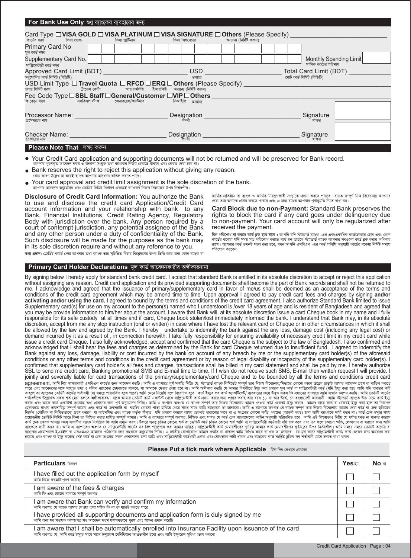| For Bank Use Only শুধু ব্যাংকের ব্যবহারের জন্য                                                                                                                                         |  |               |            |                           |                                                    |  |
|----------------------------------------------------------------------------------------------------------------------------------------------------------------------------------------|--|---------------|------------|---------------------------|----------------------------------------------------|--|
| Card Type □ VISA GOLD □ VISA PLATINUM □ VISA SIGNATURE □ Others (Please Specify) ___<br>কার্ডের ধরণ করা ভিসা গোল্ড করা হয়ে ভিসা প্লাটিনাম                                             |  | ভিসা সিগনেচার |            | অন্যান্য (নির্দিষ্ট করুন) |                                                    |  |
| Primary Card No<br>মূল কার্ড নম্বর                                                                                                                                                     |  |               |            |                           |                                                    |  |
| Supplementary Card No.<br>সাপ্লিমেন্টারী কার্ড নম্বর                                                                                                                                   |  |               |            |                           | Monthly Spending Limit<br>মাসিক খরচের পরিমাণ       |  |
| Approved Card Limit (BDT) ____________<br>অনুমোদিত কাৰ্ড লিমিট (বিডিটি)                                                                                                                |  |               | <b>USD</b> |                           | Total Card Limit (BDT)<br>মোট কাৰ্ড লিমিট (বিডিটি) |  |
| USD Limit Type $\square$ Travel Quota $\square$ RFCD $\square$ ERQ $\square$ Others (Please Specify) is the set of the set of the set of the set of the set of $\overline{\mathbb{R}}$ |  |               | ডলারে      |                           |                                                    |  |
|                                                                                                                                                                                        |  |               |            |                           |                                                    |  |
|                                                                                                                                                                                        |  |               |            |                           |                                                    |  |
| Processor Name: ______<br>প্রসেসরের নাম                                                                                                                                                |  | Designation _ |            |                           | Signature<br>স্বাক্ষর                              |  |
| Checker Name:<br>চেকারের নাম                                                                                                                                                           |  | Designation   |            |                           | Signature                                          |  |
| <b>Please Note That</b> লক্ষ্য করুন                                                                                                                                                    |  |               |            |                           |                                                    |  |

- Your Credit Card application and supporting documents will not be returned and will be preserved for Bank record. নার পুরণকৃত আবেদন ফরম ও অন্যান্য সংযুক্ত তথ্য ব্যাংকের নিজস্ব রেকর্ডে থাকবে এবং ফেরত দেয়া হবে না
- Bank reserves the right to reject this application without giving any reason.
- *(*কান কারণ উল্লেখ না করেই ব্যাংক অপিনার আবেদন বাতিল করতে পারে।
- Your card approval and credit limit assignment is the sole discretion of the bank. আপনার আবেদন অনুমোদন এবং ক্রেডিট লিমিট নির্ধারণ একান্তই ব্যাংকের নিজস্ব সিদ্ধান্তের উপর নির্ভরশীল

**Disclosure of Credit Card Information:** You authorize the Bank to use and disclose the credit card Application/Credit Card account information and your relationship with bank to any Bank, Financial Institutions, Credit Rating Agency, Regulatory Body with jurisdiction over the bank. Any person required by a court of contempt jurisdiction, any potential assignee of the Bank and any other person under a duty of confidentiality of the Bank. Such disclosure will be made for the purposes as the bank may in its sole discretion require and without any reference to you.

**তথ্য প্রদান:** ক্রেডিট কার্ডে দেয়া আপনার তথ্য ব্যাংক তার সূচিস্তিত বিচার বিশ্লেষণের উপর ভিত্তি করে অন্য কোন ব্যাংক বা

#### **Primary Card Holder Declarations** মূল কাৰ্ড আবেদনকারীর অঈীকারনামা

আৰ্থিক প্ৰতিষ্ঠান বা ব্যাংক ও আৰ্থিক নিয়ন্ত্ৰণকারী সংস্থাকে প্ৰদান করতে পাুরবে। ব্যাংক সম্পূর্ণ নিজ বিবেচনায় আপনার *†`qv Z\_¨ Ab¨‡K cÖ`vb Ki‡Z cvi‡e Ges G Rb¨ e¨vsK Avcbvi c~e©vbygwZ wb‡Z eva¨ bq|*

**Card Block due to non-Payment:** Standard Bank preserves the rights to block the card if any card goes under delinquency due to non-payment. Your card account will only be regularized after received the payment.

*বিল পরিশোধ না করলে কার্ড ব্লক হ*য়ে যাবে : আপনি যদি স্ট্যান্ডার্ড ব্যাংক -এর এক/একাধিক কার্ডহোল্ডার হোন এবং কোন কার্ডের বকেয়া যদি সময় মত পরিশোধ করতে ব্যর্থ হন তাহলে স্ট্যান্ডার্ড ব্যাংক আপনার সবগুলো কার্ড ব্লক করার অধিকার<br>রাখে। আপনার কার্ড তখনই সচল করা হবে, যখন আপনি এসবিএল -এর কার্ড পলিসি অনুযায়ী কার্ডের বকেয়া নির্দিষ্ট সময়ে<br>

By signing below I hereby apply for standard bank credit card. I accept that standard Bank is entitled in its absolute discretion to accept or reject this application without assigning any reason. Credit card application and its provided supporting documents shall become the part of Bank records and shall not be returned to me. I acknowledge and agreed that the issuance of primary/supplementary card in favor of me/us shall be deemed as an acceptance of the terms and conditions of the credit card agreement which may be amend time to time. Upon approval I agreed to pay credit card fees and charges by signing **and/or activating and/or using the card.** I agreed to bound by the terms and conditions of the credit card agreement. I also authorize Standard Bank limited to issue Supplementary card(s) for use on my account to the person(s) named who I understood is /over 18 years of age and is resident of Bangladesh and agreed that you may be provide information to him/her about the account. I aware that Bank will, at its absolute discretion issue a card Cheque book in my name and I fully responsible for its safe custody at all times and if card, Cheque book stolen/lost immediately informed the bank. I understand that Bank may, in its absolute discretion, accept from me any stop instruction (oral or written) in case where I have lost the relevant card or Cheque or in other circumstances in which it shall be allowed by the law and agreed by the Bank. I hereby undertake to indemnify the bank against the any loss, damage cost (including any legal cost) or demand incurred by it as a result of, in connection herewith. I take fully responsibility for ensuring availability of necessary credit limit in my credit card while issue a credit card Cheque. I also fully acknowledged, accept and confirmed that the card Cheque is the subject to the law of Bangladesh. I also confirmed and acknowledged that I shall bear the fees and charges as determined by the Bank for card Cheque returned due to insufficient fund. I agreed to indemnify the Bank against any loss, damage, liability or cost incurred by the bank on account of any breach by me or the supplementary card holder(s) of the aforesaid conditions or any other terms and conditions in the credit card agreement or by reason of legal disability or incapacity of the supplementary card holder(s). I confirmed that supplementary card holder's all fees and charges, transactions shall be billed in my card statement and shall be paid by me. I hereby authorize SBL to send me credit card, Banking promotional SMS and E-mail time to time. If I wish do not receive such SMS, E-mail then written request I will provide. I jointly and severally liable for card transactions of the primary/supplementary/card Cheque and to be bounded by all the terms and conditions credit card agreement. আমি নিয় স্বাক্ষকারী এসবিএল কার্ডের জন্য আবেদন করছি। আমি এ ব্যাপারে পূর্ণ সম্মতি দিচ্ছি যে, স্ট্যান্ডর পরিচিউট সম্পূর্ণ তার নিজস্ব বিবেচনার/সিদ্ধান্তে কোনো কারণ উল্লেখ ছাড়াই আমার আবেদন গ্রহণ বা বাতিল করতে পারে এবং আবেদনের সঙ্গে সংযুক্ত তথ্য ও দলিল ব্যাংকের হেমাজহে পোৱা সেই কোন আমি অসীকার কাছি পোৱা বেলি সেই কোনো মূল কার্ড বা সাপ্লিমেন্টারী কার্ড (বদি ইস্যু করা হয়) আমি যদি ব্যবহার করি<br>তাহলে তা ব্যাংকের ক্রেডিট কার্জে শর্তি শৰ্তাৰীতে উলেখিত সকল শৰ্ত মেনে সদস্যৰ সময়তে বিজেপি কাৰ্য কৰি আৰু পৰিয়াল কৰি আৰু বিজেপি পৰিয়া কৰি আৰু বিজেপি কৰি আৰু বিজেপি পৰিয়ালী কৰি আৰু বিজেপি পৰিয়ালী কৰি আৰু বিজেপি পৰিয়ালী কৰি আৰু কাৰ্য কৰি ইয়া করার এবং তাকে কার্ড একাউন্ট সংকান্ত তথ্য প্রদেশে লকে। আমি আরো আরো আরো সম্পূর্ণ করি বিজেনীয় অবাদেশের সার্জ কেবে। আমার নামে কার্ড বা কেবই ইস্যু করা হলে তা নিরাপদ<br>হেফাজতে রাখার দায়দায়িত সম্পূ আমার এবং কার কেবইটি বা বেটির নিৰ্দেশ (মৌখিক বা লিখিতভাবে) এহণ করবে- যা আইনসিদ এবং ব্যাংক কৰু ইয়ালো কৰা হয়। একো কোনো আৰু বাৰো আৰু বিজে আইন<br>প্ৰয়োজনীয় কেডিট লিমিট মাতে নিশিত কৰাৰ দায়িক সমৰ আৰু সমৰ আৰু সমৰ পৰা আৰু সমৰ পৰি আৰু সমৰ পৰি আৰু সমৰ পৰা আৰ ব্যাংককে দায়ী করব না। আমি এ ব্যাপারেও অবগত যে সাপ্লিকোরী কার্জের কার করা আমার নাই সেমার নাই আমার কার আমার করি আমার সেই করা করে করা সেই করা করে সেই করা করে করা ক<br>ব্যাংকের প্রমোশনাল ই-মেইল বা এসএমএস আমার সেই আমান সেই সেই হয়েছে এবং ব্যাংক যা ইস্যু করেছে সেই কার্ড বা চক সংক্রান্ত সকল লনদেনের জন্য আমি এবং সাই পরা সংকল কার সংকল কার্য সম্পর্ক কার্ড সংকল কার্ড সংকল কার্তা সংকলী মেনে চলতে বাধ্য থাকৰ।

| Please Put a tick mark where Applicable five five quality acquisition                                                                                                                                          |        |       |
|----------------------------------------------------------------------------------------------------------------------------------------------------------------------------------------------------------------|--------|-------|
| <b>Particulars बिजला</b>                                                                                                                                                                                       | Yes छा | No ना |
| I have filled out the application form by myself<br>আমি নিজে ফরমটি পূরণ করেছি                                                                                                                                  |        |       |
| am aware of the fees & charges<br>আমি ফি এবং চার্জের ব্যপারে সম্পর্ণ অবগত                                                                                                                                      |        |       |
| I am aware that Bank can verify and confirm my information<br>আমি অবগত যে ব্যাংক আমার দেওয়া তথ্য সঠিক কি না তা যাচাই করতে পারে                                                                                |        |       |
| I have provided all supporting documents and application form is duly signed by me<br>আমি অন্য সব সহায়ক কাগজপত্র সহ আবেদন ফরম যথাযথভাবে পরণ এবং স্বাক্ষর প্রদান করেছি                                         |        |       |
| I am aware that I shall be automatically enrolled into Insurance Facility upon issuance of the card<br>আমি অবগত যে, আমি কাৰ্ড ইস্যুর সাথে সাথে ইক্যুরেল বেনিফিটের আওতাধীন হবো এবং আমি ইক্যুরেল সুবিধা ভোগ করবো |        |       |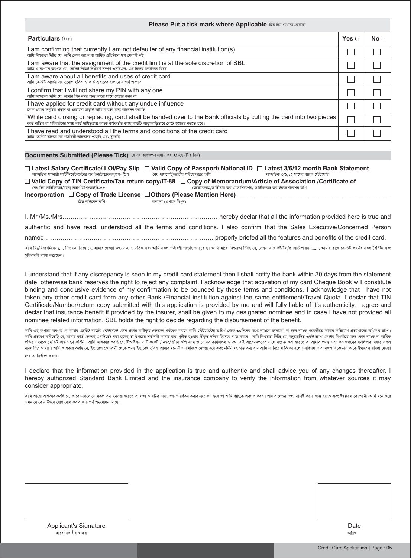| Please Put a tick mark where Applicable $\widehat{b}$ क मिन त्यथात क्षत्राका                                                                                                                                                                     |         |       |  |  |  |
|--------------------------------------------------------------------------------------------------------------------------------------------------------------------------------------------------------------------------------------------------|---------|-------|--|--|--|
| <b>Particulars बिब्बर</b>                                                                                                                                                                                                                        | Yes दंग | No না |  |  |  |
| am confirming that currently I am not defaulter of any financial institution(s)<br>আমি নিশ্চয়তা দিচ্ছি যে, আমি কোন ব্যাংক বা আৰ্থিক প্ৰতিষ্ঠানে ঋণ খেলাপী নই                                                                                    |         |       |  |  |  |
| am aware that the assignment of the credit limit is at the sole discretion of SBL<br>আমি এ ব্যপারে অবগত যে, ক্রেডিট লিমিট নির্ধারণ সম্পূর্ণ এসবিএল- এর নিজস্ব সিদ্ধান্তের বিষয়                                                                  |         |       |  |  |  |
| am aware about all benefits and uses of credit card<br>আমি ক্রেডিট কার্ডের সব সুযোগ সুবিধা ও কার্ড ব্যহারের ব্যপারে সম্পূর্ণ অবগত                                                                                                                |         |       |  |  |  |
| I confirm that I will not share my PIN with any one<br>আমি নিশ্চয়তা দিচ্ছি যে, আমার পিন নম্বর অন্য কারো সাথে শেয়ার করব না                                                                                                                      |         |       |  |  |  |
| I have applied for credit card without any undue influence<br>কোন প্রকার অনুচিত প্রভাব বা প্ররোচনা ছাডাই আমি কার্ডের জন্য আবেদন করেছি                                                                                                            |         |       |  |  |  |
| While card closing or replacing, card shall be handed over to the Bank officials by cutting the card into two pieces<br>কার্ড বাতিল বা পরিবর্তনের সময় কার্ড দায়িতুপ্রাপ্ত ব্যাংক কর্মকর্তার কাছে কার্ডটি আড়াআড়িভাবে কেটে হস্তান্তর করতে হবে। |         |       |  |  |  |
| I have read and understood all the terms and conditions of the credit card<br>আমি ক্ৰেডিট কাৰ্ডের সব শৰ্তাবলী ভালভাবে পডেছি এবং ব্ৰঝেছি                                                                                                          |         |       |  |  |  |

#### $\mathsf{D}\mathsf{occuments}$   $\mathsf{Submitted}$  (Please Tick) যে সৰ কাগজপত্ৰ প্ৰদান করা হয়েছে (টিক দিন)

 **Latest Salary Certificate/ LOI/Pay Slip Valid Copy of Passport/ National ID Latest 3/6/12 month Bank Statement** *সাম্প্র*তিক স্যালারী সার্টিফিকেট/লেটার অব ইনট্রোডাকশন/পে- স্লিপ *ˆea cvm‡cvU©/RvZxq cwiPqc‡Îi Kwc mv*¤úª*wZK 3/6/12 gv‡mi e¨vsK †÷U‡g›U*

□ Valid Copy of TIN Certificate/Tax return copy/IT-88 □ Copy of Memorandum/Article of Association /Certificate of

| বৈধ টিন সাঁটীফকেট/ট্যাক্স রিটাণ কাপ/আইটি-৮৮                                    |                       | মেমোরেন্ডাম/আটকেল অব এসোশিয়েশন/ সাটিফিকেট অব ইনকপোরেশন কাপ |
|--------------------------------------------------------------------------------|-----------------------|-------------------------------------------------------------|
| Incorporation $\Box$ Copy of Trade License $\Box$ Others (Please Mention Here) |                       |                                                             |
| টেড লাইসেন্স কপি                                                               | অন্যান্য (এখানে লিখন) |                                                             |

| authentic and have read, understood all the terms and conditions. I also confirm that the Sales Executive/Concerned Person                                                                                        |  |
|-------------------------------------------------------------------------------------------------------------------------------------------------------------------------------------------------------------------|--|
|                                                                                                                                                                                                                   |  |
| আমি মিঃমিসঃ/মিসেঃ…. নিশ্চয়তা দিছি যে, আমার দেওয়া তথ্য সত্য ও সঠিক এবং আমি সকল শর্তাবলী পত্যন্তি ও বুঝেছি। আমি আরো নিশ্চয়তা দিছি যে, সেলস এক্সিউটিভ/কনসার্ভ পারসন……. আমার কাছে ক্রেডিট কর্ডের সকল বৈশিষ্ট্য এবং |  |

সবিধাবলী ব্যাখা করেছেন।

I understand that if any discrepancy is seen in my credit card statement then I shall notify the bank within 30 days from the statement date, otherwise bank reserves the right to reject any complaint. I acknowledge that activation of my card Cheque Book will constitute binding and conclusive evidence of my confirmation to be bounded by these terms and conditions. I acknowledge that I have not taken any other credit card from any other Bank /Financial institution against the same entitlement/Travel Quota. I declar that TIN Certificate/Number/return copy submitted with this application is provided by me and will fully liable of it's authenticity. I agree and declar that insurance benefit if provided by the insurer, shall be given to my designated nominee and in case I have not provided all nominee related information, SBL holds the right to decide regarding the disbursement of the benefit.

আমি এই ব্যপারে অবগত যে আমার ক্রেডিট কার্ডের স্টেমেন্টে কোও বাইক বিশ কান্দিক করলে আমি স্টেটমেন্টের তারিখ থেকে ৩০দিনের মধ্যে ব্যাংক ভালাবো, না হলে ব্যাংক পরবর্তীতে আমার অভিযোগ প্রত্যাখানের অধিকার রাখে। আমি প্ৰত্যয়ণ করিতেছি যে, আমার কার্ড চেকবই একটিভেট করা হলেই তা উপরের শর্তাবলী আমার শ্বারা স্বীত হলিত করি আমি লিক আমা নিশ্চয়তা দিচ্ছি যে, অনুমোদিত একই ভ্রমণ কোটার বিপরীতে অন্য কোন ব্যাংক বা আর্থিক আর্থিক প্ৰতিষ্ঠান থেকে ক্ৰেডট কাৰ্ড গ্ৰহণ করিন। আমি অঙ্গিকা করি হৈ টিঅইএন সামিকিকে) / নম্বারিটান কপি সংক্রাপ কাই কাগলে সম্পত সমাপতা কৰা হয়েছে তা আমার প্ৰদত এবং কাগজপত্রের যথাৰ্থতা বিষয়ে সকল দায়দায়িত আমার। আমি অঙ্গকার করছি যে, ইস্যুরেস কোম্পানী থেকে প্রদত্ত ইস্যুরেস সুবিধা আমার মনোনীত নমিনিকে দেওয়া হবে এবং নমিনি সংক্রান্ত তথ্য যদি আমি না দিয়ে থাকি তা হলে এসবিএল তার নিজস্ব বিবেচনায় কাকে ইস্যুরেস সুবিধা দে *হ*বে তা নিৰ্ধাৱণ কৱবে।

I declare that the information provided in the application is true and authentic and shall advice you of any changes thereafter. I hereby authorized Standard Bank Limited and the insurance company to verify the information from whatever sources it may consider appropriate.

আমি আরো অঙ্গির করছি যে, আবেদনপত্রে সে সকল তথ্য দেওয়া হয়েছে তা সত্য ও সঠিক এবং তথ্য পরির্বতন করা প্রয়াকে অবগত করে। আমার দেওয়া তথ্য যাচাই করার জন্য ব্যাংক এবং ইন্সুরেঙ্গ মেলানী যথার্থ মনে করে *Ggb †h †Kvb Dr‡m †hvMv‡hvM Kivi Rb¨ c~Y© Aby‡gv`b w`w"Q|*

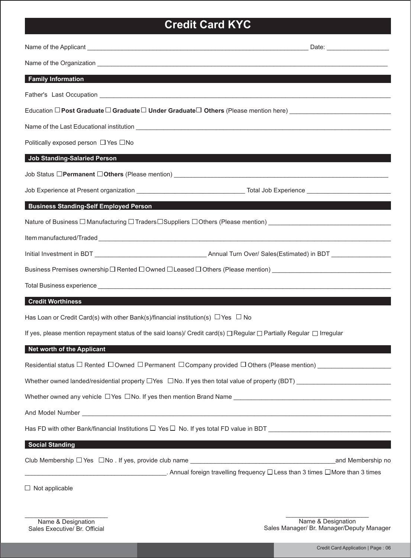## **Credit Card KYC**

|                                                                                                                                     | Name of the Organization <b>container and a series of the Container and Container and Container and Container and Container and Container and Container and Container and Container and Container and Container and Container an</b> |
|-------------------------------------------------------------------------------------------------------------------------------------|--------------------------------------------------------------------------------------------------------------------------------------------------------------------------------------------------------------------------------------|
| <b>Family Information</b>                                                                                                           |                                                                                                                                                                                                                                      |
|                                                                                                                                     |                                                                                                                                                                                                                                      |
|                                                                                                                                     |                                                                                                                                                                                                                                      |
|                                                                                                                                     |                                                                                                                                                                                                                                      |
| Politically exposed person □ Yes □ No                                                                                               |                                                                                                                                                                                                                                      |
| <b>Job Standing-Salaried Person</b>                                                                                                 |                                                                                                                                                                                                                                      |
|                                                                                                                                     |                                                                                                                                                                                                                                      |
|                                                                                                                                     |                                                                                                                                                                                                                                      |
| <b>Business Standing-Self Employed Person</b>                                                                                       |                                                                                                                                                                                                                                      |
|                                                                                                                                     | Nature of Business □ Manufacturing □ Traders□Suppliers □Others (Please mention) ______________________________                                                                                                                       |
|                                                                                                                                     |                                                                                                                                                                                                                                      |
|                                                                                                                                     |                                                                                                                                                                                                                                      |
|                                                                                                                                     |                                                                                                                                                                                                                                      |
|                                                                                                                                     | Total Business experience <b>contract and a series of the contract of the contract of the contract of the contract of the contract of the contract of the contract of the contract of the contract of the contract of the contra</b> |
| <b>Credit Worthiness</b>                                                                                                            |                                                                                                                                                                                                                                      |
| Has Loan or Credit Card(s) with other Bank(s)/financial institution(s) $\Box$ Yes $\Box$ No                                         |                                                                                                                                                                                                                                      |
| If yes, please mention repayment status of the said loans)/ Credit card(s) $\Box$ Regular $\Box$ Partially Regular $\Box$ Irregular |                                                                                                                                                                                                                                      |
| <b>Net worth of the Applicant</b>                                                                                                   |                                                                                                                                                                                                                                      |
|                                                                                                                                     | Residential status $\Box$ Rented $\Box$ Owned $\Box$ Permanent $\Box$ Company provided $\Box$ Others (Please mention) _____________________                                                                                          |
|                                                                                                                                     | Whether owned landed/residential property $\Box$ Yes $\Box$ No. If yes then total value of property (BDT) $\Box$                                                                                                                     |
|                                                                                                                                     |                                                                                                                                                                                                                                      |
|                                                                                                                                     | And Model Number <b>And Model Number</b> 2004 Contract to the Contract of the Contract of the Contract of the Contract of the Contract of the Contract of the Contract of the Contract of the Contract of the Contract of the Contr  |
|                                                                                                                                     |                                                                                                                                                                                                                                      |
| <b>Social Standing</b>                                                                                                              |                                                                                                                                                                                                                                      |
|                                                                                                                                     |                                                                                                                                                                                                                                      |
|                                                                                                                                     | <b>Annual foreign travelling frequency</b> □ Less than 3 times □ More than 3 times imes                                                                                                                                              |

 $\Box$  Not applicable

\_\_\_\_\_\_\_\_\_\_\_\_\_\_\_\_\_\_\_\_\_\_\_\_ Name & Designation Sales Manager/ Br. Manager/Deputy Manager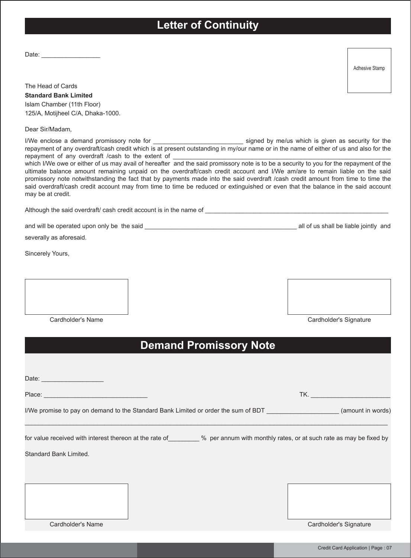## **Letter of Continuity**

Date:

Adhesive Stamp

The Head of Cards **Standard Bank Limited** Islam Chamber (11th Floor) 125/A, Motijheel C/A, Dhaka-1000.

Dear Sir/Madam,

I/We enclose a demand promissory note for \_\_\_\_\_\_\_\_\_\_\_\_\_\_\_\_\_\_\_\_\_\_\_\_\_\_ signed by me/us which is given as security for the repayment of any overdraft/cash credit which is at present outstanding in my/our name or in the name of either of us and also for the repayment of any overdraft /cash to the extent of

which I/We owe or either of us may avail of hereafter and the said promissory note is to be a security to you for the repayment of the ultimate balance amount remaining unpaid on the overdraft/cash credit account and I/We am/are to remain liable on the said promissory note notwithstanding the fact that by payments made into the said overdraft /cash credit amount from time to time the said overdraft/cash credit account may from time to time be reduced or extinguished or even that the balance in the said account may be at credit.

Although the said overdraft/ cash credit account is in the name of \_\_\_\_\_\_\_\_\_\_\_\_\_\_\_\_\_\_\_\_\_\_\_\_\_\_\_\_\_\_\_\_\_\_\_\_\_\_\_\_\_\_\_\_\_\_\_\_\_\_\_\_\_

and will be operated upon only be the said **and solution** and will be liable jointly and  $\alpha$  all of us shall be liable jointly and

severally as aforesaid.

Sincerely Yours,



Cardholder's Name Cardholder's Signature

## **Demand Promissory Note**

| Place: <u>____</u>                                                                                                                                           | <b>TK.</b> The contract of the contract of the contract of the contract of the contract of the contract of the contract of the contract of the contract of the contract of the contract of the contract of the contract of the cont |
|--------------------------------------------------------------------------------------------------------------------------------------------------------------|-------------------------------------------------------------------------------------------------------------------------------------------------------------------------------------------------------------------------------------|
| I/We promise to pay on demand to the Standard Bank Limited or order the sum of BDT _______________________(amount in words)                                  |                                                                                                                                                                                                                                     |
| for value received with interest thereon at the rate of ________% per annum with monthly rates, or at such rate as may be fixed by<br>Standard Bank Limited. |                                                                                                                                                                                                                                     |
| Cardholder's Name                                                                                                                                            | Cardholder's Signature                                                                                                                                                                                                              |
|                                                                                                                                                              | Credit Card Application   Page: 07                                                                                                                                                                                                  |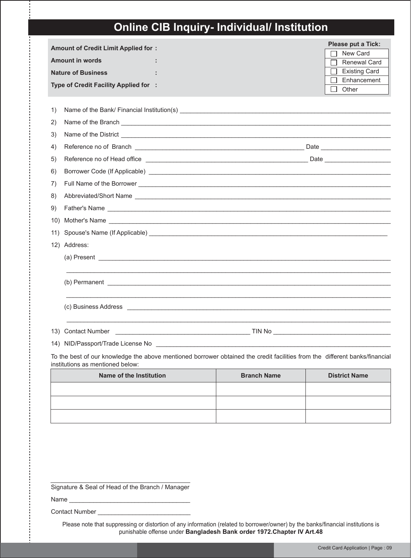## **Online CIB Inquiry- Individual/ Institution**

| <b>Amount of Credit Limit Applied for:</b><br><b>Amount in words</b><br><b>Nature of Business</b><br>Type of Credit Facility Applied for :                                                                                                 | Please put a Tick:<br>New Card<br><b>Renewal Card</b><br><b>Existing Card</b><br>Enhancement<br>Other |
|--------------------------------------------------------------------------------------------------------------------------------------------------------------------------------------------------------------------------------------------|-------------------------------------------------------------------------------------------------------|
| 1)                                                                                                                                                                                                                                         |                                                                                                       |
| Name of the Branch <b>Constantine Construction</b><br>2)                                                                                                                                                                                   |                                                                                                       |
| Name of the District <u>example and the set of the District of the Set of the District of the Set of the Set of the Set of the Set of the Set of the Set of the Set of the Set of the Set of the Set of the Set of the Set of th</u><br>3) |                                                                                                       |
| 4)                                                                                                                                                                                                                                         |                                                                                                       |
| 5)                                                                                                                                                                                                                                         |                                                                                                       |
| Borrower Code (If Applicable) <b>All Accords</b> 2014 12:00 Applicable 2014 12:00 Applicable 2014 12:00 Applicable 20<br>6)                                                                                                                |                                                                                                       |
| 7)                                                                                                                                                                                                                                         |                                                                                                       |
| 8)                                                                                                                                                                                                                                         |                                                                                                       |
| 9)<br>Father's Name experience and the set of the set of the set of the set of the set of the set of the set of the set of the set of the set of the set of the set of the set of the set of the set of the set of the set of the se       |                                                                                                       |
| Mother's Name Lawrence and the second state of the second state and the second state of the second state and state and state and state and state and state and state and state and state and state and state and state and sta<br>10)      |                                                                                                       |
| Spouse's Name (If Applicable) expression of the state of the state of the state of the state of the state of the state of the state of the state of the state of the state of the state of the state of the state of the state<br>11)      |                                                                                                       |
| 12) Address:                                                                                                                                                                                                                               |                                                                                                       |
| (a) Present experience and the set of the set of the set of the set of the set of the set of the set of the set of the set of the set of the set of the set of the set of the set of the set of the set of the set of the set              |                                                                                                       |
| $(b)$ Permanent $\qquad \qquad$                                                                                                                                                                                                            |                                                                                                       |
|                                                                                                                                                                                                                                            |                                                                                                       |
| 13) Contact Number <b>Contact Number Contact Number Contact Number Contact Number Contact Number Contact Number</b>                                                                                                                        |                                                                                                       |
| والمساحي والمتحاول والمستحيل والمستحيل والمستحي والمستحيل والمتحدث والمتحدث والمتحدث والمتحدث والمتحدث والمتحدث                                                                                                                            |                                                                                                       |

To the best of our knowledge the above mentioned borrower obtained the credit facilities from the different banks/financial institutions as mentioned below:

| Name of the Institution | <b>Branch Name</b> | <b>District Name</b> |
|-------------------------|--------------------|----------------------|
|                         |                    |                      |
|                         |                    |                      |
|                         |                    |                      |

Signature & Seal of Head of the Branch / Manager

Name

Contact Number \_\_\_\_\_\_\_\_\_\_\_\_\_\_\_\_\_\_\_\_\_\_\_\_\_\_

Please note that suppressing or distortion of any information (related to borrower/owner) by the banks/financial institutions is punishable offense under **Bangladesh Bank order 1972.Chapter IV Art.48**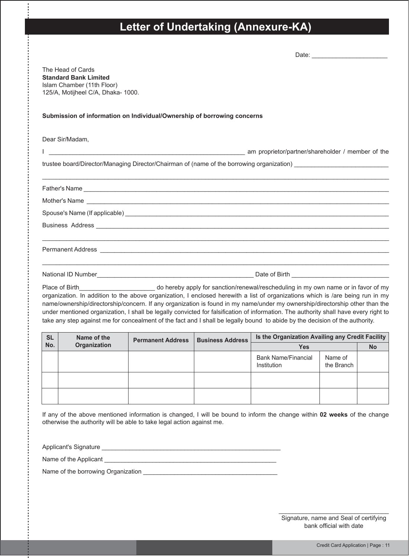## **Letter of Undertaking (Annexure-KA)**

| The Head of Cards<br><b>Standard Bank Limited</b><br>Islam Chamber (11th Floor)<br>125/A, Motijheel C/A, Dhaka- 1000.                                                                                                                                                                                                                                                                                                                                                                                                                 |  |
|---------------------------------------------------------------------------------------------------------------------------------------------------------------------------------------------------------------------------------------------------------------------------------------------------------------------------------------------------------------------------------------------------------------------------------------------------------------------------------------------------------------------------------------|--|
| Submission of information on Individual/Ownership of borrowing concerns                                                                                                                                                                                                                                                                                                                                                                                                                                                               |  |
| Dear Sir/Madam.                                                                                                                                                                                                                                                                                                                                                                                                                                                                                                                       |  |
| am proprietor/partner/shareholder / member of the and the state of the and the state of the state of the state of the                                                                                                                                                                                                                                                                                                                                                                                                                 |  |
| trustee board/Director/Managing Director/Chairman of (name of the borrowing organization)                                                                                                                                                                                                                                                                                                                                                                                                                                             |  |
|                                                                                                                                                                                                                                                                                                                                                                                                                                                                                                                                       |  |
|                                                                                                                                                                                                                                                                                                                                                                                                                                                                                                                                       |  |
| Spouse's Name (If applicable) <b>And American Contract Contract Contract Contract Contract Contract Contract Contract Contract Contract Contract Contract Contract Contract Contract Contract Contract Contract Contract Contrac</b>                                                                                                                                                                                                                                                                                                  |  |
|                                                                                                                                                                                                                                                                                                                                                                                                                                                                                                                                       |  |
|                                                                                                                                                                                                                                                                                                                                                                                                                                                                                                                                       |  |
|                                                                                                                                                                                                                                                                                                                                                                                                                                                                                                                                       |  |
| organization. In addition to the above organization, I enclosed herewith a list of organizations which is /are being run in my<br>name/ownership/directorship/concern. If any organization is found in my name/under my ownership/directorship other than the<br>under mentioned organization, I shall be legally convicted for falsification of information. The authority shall have every right to<br>take any step against me for concealment of the fact and I shall be legally bound to abide by the decision of the authority. |  |

| <b>SL</b> | Name of the  | <b>Permanent Address</b> | <b>Business Address</b> | Is the Organization Availing any Credit Facility |                       |           |
|-----------|--------------|--------------------------|-------------------------|--------------------------------------------------|-----------------------|-----------|
| No.       | Organization |                          |                         | <b>Yes</b>                                       |                       | <b>No</b> |
|           |              |                          |                         | <b>Bank Name/Financial</b><br>Institution        | Name of<br>the Branch |           |
|           |              |                          |                         |                                                  |                       |           |
|           |              |                          |                         |                                                  |                       |           |

If any of the above mentioned information is changed, I will be bound to inform the change within **02 weeks** of the change otherwise the authority will be able to take legal action against me.

Applicant's Signature \_\_\_\_\_\_\_\_\_\_\_\_\_\_\_\_\_\_\_\_\_\_\_\_\_\_\_\_\_\_\_\_\_\_\_\_\_\_\_\_\_\_\_\_\_\_\_\_\_\_\_\_ Name of the Applicant \_\_\_\_\_\_\_\_\_\_\_\_\_\_\_\_\_\_\_\_\_\_\_\_\_\_\_\_\_\_\_\_\_\_\_\_\_\_\_\_\_\_\_\_\_\_\_\_\_\_ Name of the borrowing Organization \_\_\_\_\_\_\_\_\_\_\_\_\_\_\_\_\_\_\_\_\_\_\_\_\_\_\_\_\_\_\_\_\_\_\_\_\_\_\_

> \_\_\_\_\_\_\_\_\_\_\_\_\_\_\_\_\_\_\_\_\_\_\_\_\_\_\_\_\_\_\_\_ Signature, name and Seal of certifying bank official with date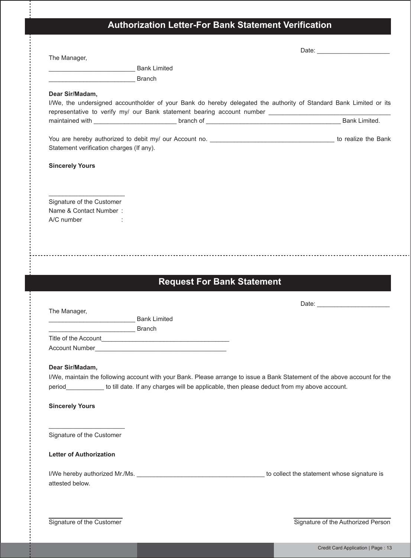## **Authorization Letter-For Bank Statement Verification**

| The Manager,                             |                                                                                                                            |  |
|------------------------------------------|----------------------------------------------------------------------------------------------------------------------------|--|
| <b>Mark Limited</b> Bank Limited         |                                                                                                                            |  |
| Branch                                   |                                                                                                                            |  |
| Dear Sir/Madam,                          |                                                                                                                            |  |
|                                          | I/We, the undersigned accountholder of your Bank do hereby delegated the authority of Standard Bank Limited or its         |  |
|                                          |                                                                                                                            |  |
|                                          |                                                                                                                            |  |
|                                          |                                                                                                                            |  |
| Statement verification charges (If any). |                                                                                                                            |  |
|                                          |                                                                                                                            |  |
| <b>Sincerely Yours</b>                   |                                                                                                                            |  |
|                                          |                                                                                                                            |  |
|                                          |                                                                                                                            |  |
| Signature of the Customer                |                                                                                                                            |  |
| Name & Contact Number:                   |                                                                                                                            |  |
| A/C number :                             |                                                                                                                            |  |
|                                          |                                                                                                                            |  |
|                                          |                                                                                                                            |  |
|                                          |                                                                                                                            |  |
|                                          |                                                                                                                            |  |
|                                          | <b>Request For Bank Statement</b>                                                                                          |  |
|                                          |                                                                                                                            |  |
| The Manager,                             |                                                                                                                            |  |
| Bank Limited                             |                                                                                                                            |  |
| Branch                                   |                                                                                                                            |  |
|                                          |                                                                                                                            |  |
| Account Number                           | <u> 1980 - Jan Stein Stein Stein Stein Stein Stein Stein Stein Stein Stein Stein Stein Stein Stein Stein Stein S</u>       |  |
|                                          |                                                                                                                            |  |
| Dear Sir/Madam,                          |                                                                                                                            |  |
|                                          | I/We, maintain the following account with your Bank. Please arrange to issue a Bank Statement of the above account for the |  |
|                                          | period____________ to till date. If any charges will be applicable, then please deduct from my above account.              |  |
| <b>Sincerely Yours</b>                   |                                                                                                                            |  |
|                                          |                                                                                                                            |  |
|                                          |                                                                                                                            |  |
| Signature of the Customer                |                                                                                                                            |  |
|                                          |                                                                                                                            |  |
| <b>Letter of Authorization</b>           |                                                                                                                            |  |
|                                          |                                                                                                                            |  |
| attested below.                          |                                                                                                                            |  |

Signature of the Customer Signature of the Authorized Person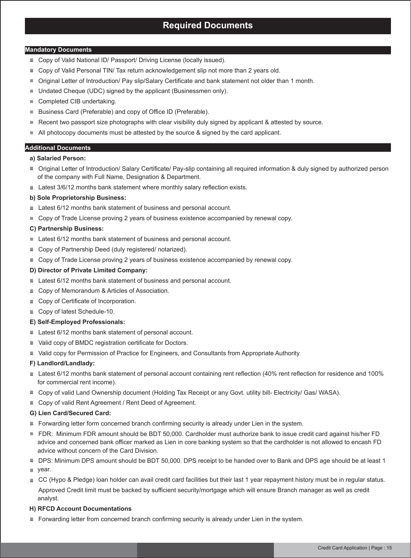### **Required Documents**

#### **Mandatory Documents**

- Copy of Valid National ID/ Passport/ Driving License (locally issued).
- Copy of Valid Personal TIN/ Tax return acknowledgement slip not more than 2 years old.
- Original Letter of Introduction/ Pay slip/Salary Certificate and bank statement not older than 1 month.  $\blacksquare$
- Undated Cheque (UDC) signed by the applicant (Businessmen only). Ū
- Completed CIB undertaking. п
- Business Card (Preferable) and copy of Office ID (Preferable).  $\blacksquare$
- Recent two passport size photographs with clear visibility duly signed by applicant & attested by source. Ē.
- All photocopy documents must be attested by the source & signed by the card applicant. Ē

#### **Additional Documents**

- **a) Salaried Person:**
- Original Letter of Introduction/ Salary Certificate/ Pay-slip containing all required information & duly signed by authorized person of the company with Full Name, Designation & Department.
- Latest 3/6/12 months bank statement where monthly salary reflection exists.

#### **b) Sole Proprietorship Business:**

- Latest 6/12 months bank statement of business and personal account.
- **Copy of Trade License proving 2 years of business existence accompanied by renewal copy.**

#### **C) Partnership Business:**

- Latest 6/12 months bank statement of business and personal account.
- Copy of Partnership Deed (duly registered/ notarized).
- Copy of Trade License proving 2 years of business existence accompanied by renewal copy.

#### **D) Director of Private Limited Company:**

- Latest 6/12 months bank statement of business and personal account.
- Copy of Memorandum & Articles of Association.
- Copy of Certificate of Incorporation.
- Copy of latest Schedule-10.

#### **E) Self-Employed Professionals:**

- Latest 6/12 months bank statement of personal account.
- Valid copy of BMDC registration certificate for Doctors.
- Valid copy for Permission of Practice for Engineers, and Consultants from Appropriate Authority

#### **F) Landlord/Landlady:**

- Latest 6/12 months bank statement of personal account containing rent reflection (40% rent reflection for residence and 100% for commercial rent income).
- Copy of valid Land Ownership document (Holding Tax Receipt or any Govt. utility bill- Electricity/ Gas/ WASA).
- Copy of valid Rent Agreement / Rent Deed of Agreement.

#### **G) Lien Card/Secured Card:**

- Forwarding letter form concerned branch confirming security is already under Lien in the system.
- FDR: Minimum FDR amount should be BDT 50,000. Cardholder must authorize bank to issue credit card against his/her FD advice and concerned bank officer marked as Lien in core banking system so that the cardholder is not allowed to encash FD advice without concern of the Card Division.
- DPS: Minimum DPS amount should be BDT 50,000. DPS receipt to be handed over to Bank and DPS age should be at least 1
- vear.
- CC (Hypo & Pledge) loan holder can avail credit card facilities but their last 1 year repayment history must be in regular status. Approved Credit limit must be backed by sufficient security/mortgage which will ensure Branch manager as well as credit analyst.

#### **H) RFCD Account Documentations**

Forwarding letter from concerned branch confirming security is already under Lien in the system.